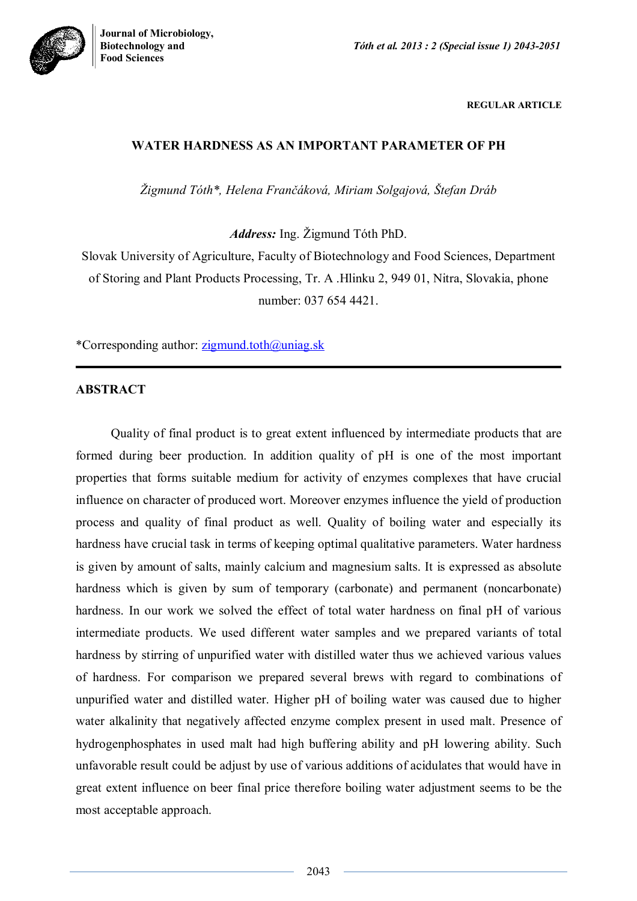

**REGULAR ARTICLE**

# **WATER HARDNESS AS AN IMPORTANT PARAMETER OF PH**

*Žigmund Tóth\*, Helena Frančáková, Miriam Solgajová, Štefan Dráb*

*Address:* Ing. Žigmund Tóth PhD.

Slovak University of Agriculture, Faculty of Biotechnology and Food Sciences, Department of Storing and Plant Products Processing, Tr. A .Hlinku 2, 949 01, Nitra, Slovakia, phone number: 037 654 4421.

\*Corresponding author: zigmund.toth@uniag.sk

## **ABSTRACT**

 Quality of final product is to great extent influenced by intermediate products that are formed during beer production. In addition quality of pH is one of the most important properties that forms suitable medium for activity of enzymes complexes that have crucial influence on character of produced wort. Moreover enzymes influence the yield of production process and quality of final product as well. Quality of boiling water and especially its hardness have crucial task in terms of keeping optimal qualitative parameters. Water hardness is given by amount of salts, mainly calcium and magnesium salts. It is expressed as absolute hardness which is given by sum of temporary (carbonate) and permanent (noncarbonate) hardness. In our work we solved the effect of total water hardness on final pH of various intermediate products. We used different water samples and we prepared variants of total hardness by stirring of unpurified water with distilled water thus we achieved various values of hardness. For comparison we prepared several brews with regard to combinations of unpurified water and distilled water. Higher pH of boiling water was caused due to higher water alkalinity that negatively affected enzyme complex present in used malt. Presence of hydrogenphosphates in used malt had high buffering ability and pH lowering ability. Such unfavorable result could be adjust by use of various additions of acidulates that would have in great extent influence on beer final price therefore boiling water adjustment seems to be the most acceptable approach.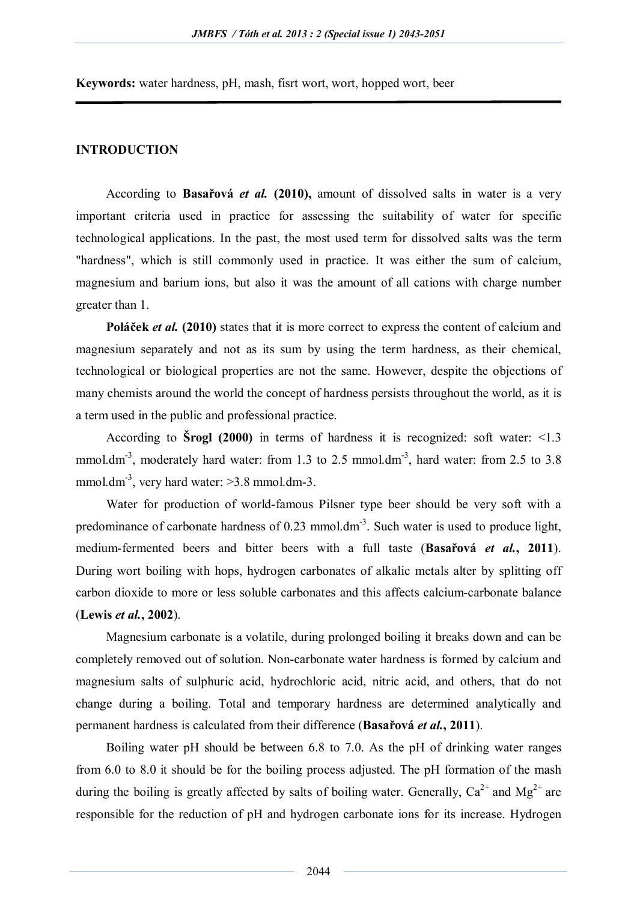**Keywords:** water hardness, pH, mash, fisrt wort, wort, hopped wort, beer

#### **INTRODUCTION**

According to **Basařová** *et al.* **(2010),** amount of dissolved salts in water is a very important criteria used in practice for assessing the suitability of water for specific technological applications. In the past, the most used term for dissolved salts was the term "hardness", which is still commonly used in practice. It was either the sum of calcium, magnesium and barium ions, but also it was the amount of all cations with charge number greater than 1.

**Poláček** *et al.* **(2010)** states that it is more correct to express the content of calcium and magnesium separately and not as its sum by using the term hardness, as their chemical, technological or biological properties are not the same. However, despite the objections of many chemists around the world the concept of hardness persists throughout the world, as it is a term used in the public and professional practice.

According to **Šrogl (2000)** in terms of hardness it is recognized: soft water: <1.3 mmol.dm<sup>-3</sup>, moderately hard water: from 1.3 to 2.5 mmol.dm<sup>-3</sup>, hard water: from 2.5 to 3.8 mmol.dm<sup>-3</sup>, very hard water:  $>3.8$  mmol.dm-3.

Water for production of world-famous Pilsner type beer should be very soft with a predominance of carbonate hardness of  $0.23 \text{ mmol.dim}^3$ . Such water is used to produce light, medium-fermented beers and bitter beers with a full taste (**Basařová** *et al.***, 2011**). During wort boiling with hops, hydrogen carbonates of alkalic metals alter by splitting off carbon dioxide to more or less soluble carbonates and this affects calcium-carbonate balance (**Lewis** *et al.***, 2002**).

Magnesium carbonate is a volatile, during prolonged boiling it breaks down and can be completely removed out of solution. Non-carbonate water hardness is formed by calcium and magnesium salts of sulphuric acid, hydrochloric acid, nitric acid, and others, that do not change during a boiling. Total and temporary hardness are determined analytically and permanent hardness is calculated from their difference (**Basařová** *et al.***, 2011**).

Boiling water pH should be between 6.8 to 7.0. As the pH of drinking water ranges from 6.0 to 8.0 it should be for the boiling process adjusted. The pH formation of the mash during the boiling is greatly affected by salts of boiling water. Generally,  $Ca^{2+}$  and  $Mg^{2+}$  are responsible for the reduction of pH and hydrogen carbonate ions for its increase. Hydrogen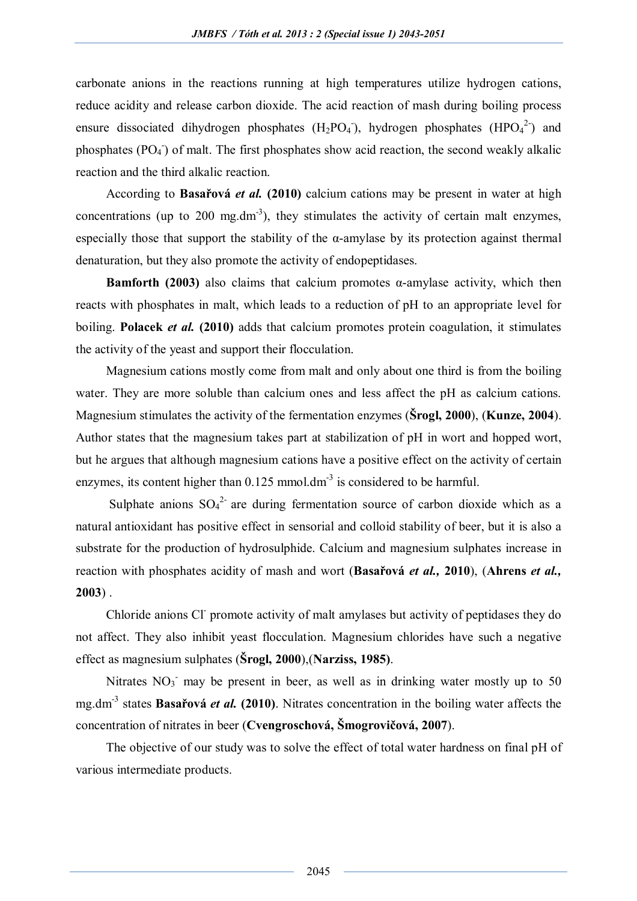carbonate anions in the reactions running at high temperatures utilize hydrogen cations, reduce acidity and release carbon dioxide. The acid reaction of mash during boiling process ensure dissociated dihydrogen phosphates  $(H_2PO_4^-)$ , hydrogen phosphates  $(HPO_4^2^-)$  and phosphates (PO<sub>4</sub>) of malt. The first phosphates show acid reaction, the second weakly alkalic reaction and the third alkalic reaction.

According to **Basařová** *et al.* **(2010)** calcium cations may be present in water at high concentrations (up to  $200 \text{ mg.dim}^3$ ), they stimulates the activity of certain malt enzymes, especially those that support the stability of the  $\alpha$ -amylase by its protection against thermal denaturation, but they also promote the activity of endopeptidases.

**Bamforth (2003)** also claims that calcium promotes  $\alpha$ -amylase activity, which then reacts with phosphates in malt, which leads to a reduction of pH to an appropriate level for boiling. **Polacek** *et al.* **(2010)** adds that calcium promotes protein coagulation, it stimulates the activity of the yeast and support their flocculation.

Magnesium cations mostly come from malt and only about one third is from the boiling water. They are more soluble than calcium ones and less affect the pH as calcium cations. Magnesium stimulates the activity of the fermentation enzymes (**Šrogl, 2000**), (**Kunze, 2004**). Author states that the magnesium takes part at stabilization of pH in wort and hopped wort, but he argues that although magnesium cations have a positive effect on the activity of certain enzymes, its content higher than  $0.125$  mmol.dm<sup>-3</sup> is considered to be harmful.

Sulphate anions  $SO_4^2$  are during fermentation source of carbon dioxide which as a natural antioxidant has positive effect in sensorial and colloid stability of beer, but it is also a substrate for the production of hydrosulphide. Calcium and magnesium sulphates increase in reaction with phosphates acidity of mash and wort (**Basařová** *et al.,* **2010**), (**Ahrens** *et al.,*  **2003**) .

Chloride anions Cl promote activity of malt amylases but activity of peptidases they do not affect. They also inhibit yeast flocculation. Magnesium chlorides have such a negative effect as magnesium sulphates (**Šrogl, 2000**),(**Narziss, 1985)**.

Nitrates  $NO<sub>3</sub>$  may be present in beer, as well as in drinking water mostly up to 50 mg.dm-3 states **Basařová** *et al.* **(2010)**. Nitrates concentration in the boiling water affects the concentration of nitrates in beer (**Cvengroschová, Šmogrovičová, 2007**).

The objective of our study was to solve the effect of total water hardness on final pH of various intermediate products.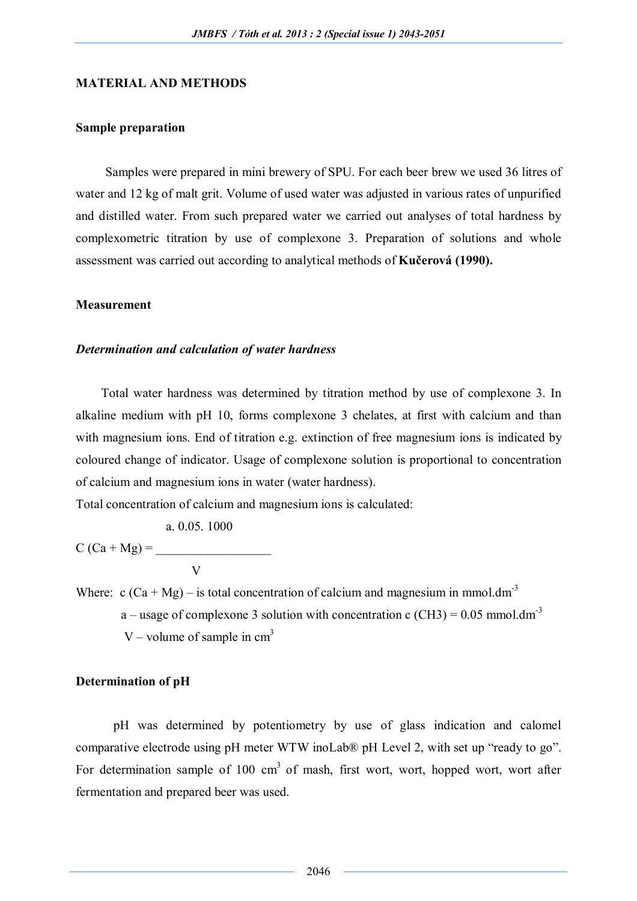#### **MATERIAL AND METHODS**

#### **Sample preparation**

Samples were prepared in mini brewery of SPU. For each beer brew we used 36 litres of water and 12 kg of malt grit. Volume of used water was adjusted in various rates of unpurified and distilled water. From such prepared water we carried out analyses of total hardness by complexometric titration by use of complexone 3. Preparation of solutions and whole assessment was carried out according to analytical methods of **Kučerová (1990).**

#### **Measurement**

#### *Determination and calculation of water hardness*

Total water hardness was determined by titration method by use of complexone 3. In alkaline medium with pH 10, forms complexone 3 chelates, at first with calcium and than with magnesium ions. End of titration e.g. extinction of free magnesium ions is indicated by coloured change of indicator. Usage of complexone solution is proportional to concentration of calcium and magnesium ions in water (water hardness).

Total concentration of calcium and magnesium ions is calculated:

a. 0.05. 1000

 $C (Ca + Mg) =$ V

Where: c  $(Ca + Mg) - is$  total concentration of calcium and magnesium in mmol.dm<sup>-3</sup> a – usage of complexone 3 solution with concentration c (CH3) =  $0.05$  mmol.dm<sup>-3</sup> V – volume of sample in  $cm<sup>3</sup>$ 

#### **Determination of pH**

pH was determined by potentiometry by use of glass indication and calomel comparative electrode using pH meter WTW inoLab® pH Level 2, with set up "ready to go". For determination sample of 100  $\text{cm}^3$  of mash, first wort, wort, hopped wort, wort after fermentation and prepared beer was used.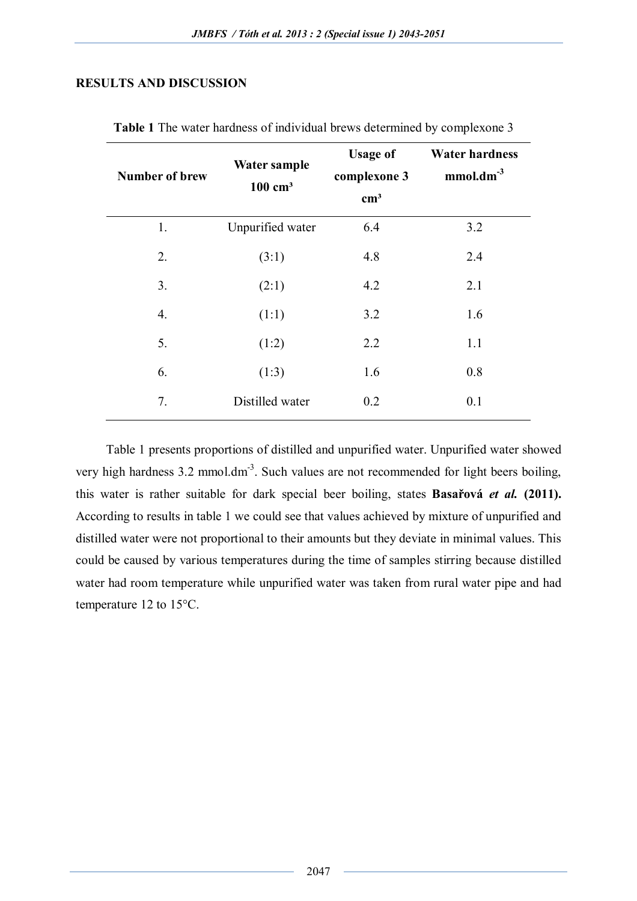# **RESULTS AND DISCUSSION**

| <b>Number of brew</b> | Water sample<br>$100 \text{ cm}^3$ | <b>Usage of</b><br>complexone 3<br>cm <sup>3</sup> | <b>Water hardness</b><br>$mmol.dim^{-3}$ |
|-----------------------|------------------------------------|----------------------------------------------------|------------------------------------------|
| 1.                    | Unpurified water                   | 6.4                                                | 3.2                                      |
| 2.                    | (3:1)                              | 4.8                                                | 2.4                                      |
| 3.                    | (2:1)                              | 4.2                                                | 2.1                                      |
| $\overline{4}$ .      | (1:1)                              | 3.2                                                | 1.6                                      |
| 5.                    | (1:2)                              | 2.2                                                | 1.1                                      |
| 6.                    | (1:3)                              | 1.6                                                | 0.8                                      |
| 7.                    | Distilled water                    | 0.2                                                | 0.1                                      |

**Table 1** The water hardness of individual brews determined by complexone 3

Table 1 presents proportions of distilled and unpurified water. Unpurified water showed very high hardness 3.2 mmol.dm<sup>-3</sup>. Such values are not recommended for light beers boiling, this water is rather suitable for dark special beer boiling, states **Basařová** *et al.* **(2011).**  According to results in table 1 we could see that values achieved by mixture of unpurified and distilled water were not proportional to their amounts but they deviate in minimal values. This could be caused by various temperatures during the time of samples stirring because distilled water had room temperature while unpurified water was taken from rural water pipe and had temperature 12 to 15°C.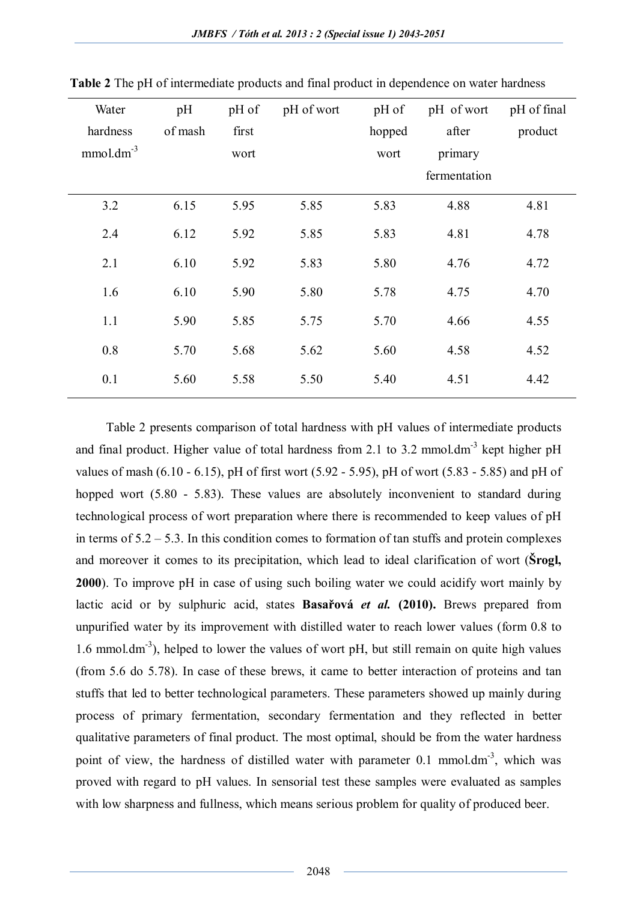| Water           | pH      | pH of | pH of wort | pH of  | pH of wort   | pH of final |
|-----------------|---------|-------|------------|--------|--------------|-------------|
| hardness        | of mash | first |            | hopped | after        | product     |
| $mmol.dim^{-3}$ |         | wort  |            | wort   | primary      |             |
|                 |         |       |            |        | fermentation |             |
| 3.2             | 6.15    | 5.95  | 5.85       | 5.83   | 4.88         | 4.81        |
| 2.4             | 6.12    | 5.92  | 5.85       | 5.83   | 4.81         | 4.78        |
| 2.1             | 6.10    | 5.92  | 5.83       | 5.80   | 4.76         | 4.72        |
| 1.6             | 6.10    | 5.90  | 5.80       | 5.78   | 4.75         | 4.70        |
| 1.1             | 5.90    | 5.85  | 5.75       | 5.70   | 4.66         | 4.55        |
| 0.8             | 5.70    | 5.68  | 5.62       | 5.60   | 4.58         | 4.52        |
| 0.1             | 5.60    | 5.58  | 5.50       | 5.40   | 4.51         | 4.42        |

**Table 2** The pH of intermediate products and final product in dependence on water hardness

Table 2 presents comparison of total hardness with pH values of intermediate products and final product. Higher value of total hardness from 2.1 to 3.2 mmol.dm<sup>-3</sup> kept higher pH values of mash (6.10 - 6.15), pH of first wort (5.92 - 5.95), pH of wort (5.83 - 5.85) and pH of hopped wort (5.80 - 5.83). These values are absolutely inconvenient to standard during technological process of wort preparation where there is recommended to keep values of pH in terms of  $5.2 - 5.3$ . In this condition comes to formation of tan stuffs and protein complexes and moreover it comes to its precipitation, which lead to ideal clarification of wort (**Šrogl, 2000**). To improve pH in case of using such boiling water we could acidify wort mainly by lactic acid or by sulphuric acid, states **Basařová** *et al.* **(2010).** Brews prepared from unpurified water by its improvement with distilled water to reach lower values (form 0.8 to 1.6 mmol.dm<sup>-3</sup>), helped to lower the values of wort pH, but still remain on quite high values (from 5.6 do 5.78). In case of these brews, it came to better interaction of proteins and tan stuffs that led to better technological parameters. These parameters showed up mainly during process of primary fermentation, secondary fermentation and they reflected in better qualitative parameters of final product. The most optimal, should be from the water hardness point of view, the hardness of distilled water with parameter  $0.1 \text{ mmol.dim}^3$ , which was proved with regard to pH values. In sensorial test these samples were evaluated as samples with low sharpness and fullness, which means serious problem for quality of produced beer.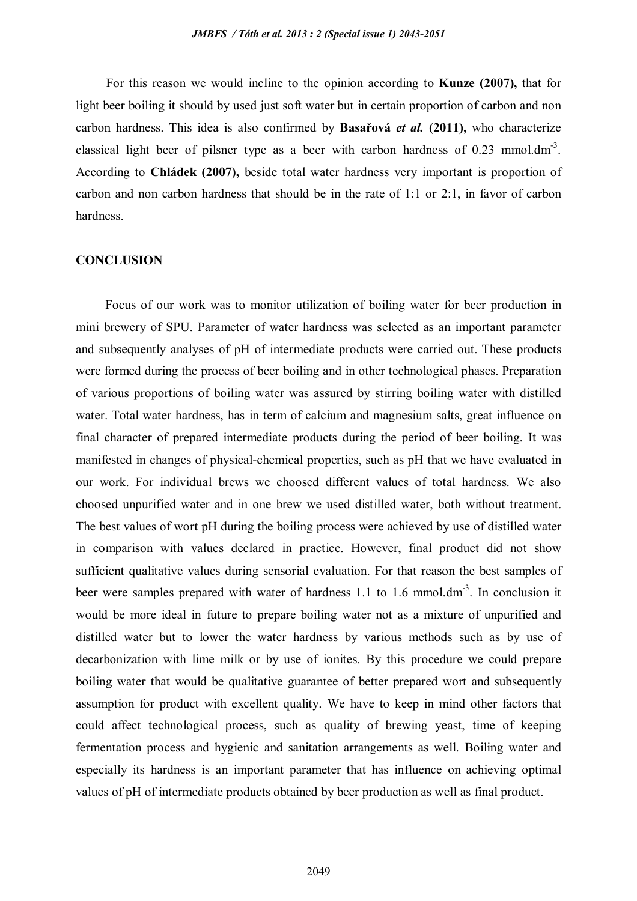For this reason we would incline to the opinion according to **Kunze (2007),** that for light beer boiling it should by used just soft water but in certain proportion of carbon and non carbon hardness. This idea is also confirmed by **Basařová** *et al.* **(2011),** who characterize classical light beer of pilsner type as a beer with carbon hardness of  $0.23 \text{ mmol.dim}^3$ . According to **Chládek (2007),** beside total water hardness very important is proportion of carbon and non carbon hardness that should be in the rate of 1:1 or 2:1, in favor of carbon hardness.

## **CONCLUSION**

Focus of our work was to monitor utilization of boiling water for beer production in mini brewery of SPU. Parameter of water hardness was selected as an important parameter and subsequently analyses of pH of intermediate products were carried out. These products were formed during the process of beer boiling and in other technological phases. Preparation of various proportions of boiling water was assured by stirring boiling water with distilled water. Total water hardness, has in term of calcium and magnesium salts, great influence on final character of prepared intermediate products during the period of beer boiling. It was manifested in changes of physical-chemical properties, such as pH that we have evaluated in our work. For individual brews we choosed different values of total hardness. We also choosed unpurified water and in one brew we used distilled water, both without treatment. The best values of wort pH during the boiling process were achieved by use of distilled water in comparison with values declared in practice. However, final product did not show sufficient qualitative values during sensorial evaluation. For that reason the best samples of beer were samples prepared with water of hardness 1.1 to 1.6 mmol.dm<sup>-3</sup>. In conclusion it would be more ideal in future to prepare boiling water not as a mixture of unpurified and distilled water but to lower the water hardness by various methods such as by use of decarbonization with lime milk or by use of ionites. By this procedure we could prepare boiling water that would be qualitative guarantee of better prepared wort and subsequently assumption for product with excellent quality. We have to keep in mind other factors that could affect technological process, such as quality of brewing yeast, time of keeping fermentation process and hygienic and sanitation arrangements as well. Boiling water and especially its hardness is an important parameter that has influence on achieving optimal values of pH of intermediate products obtained by beer production as well as final product.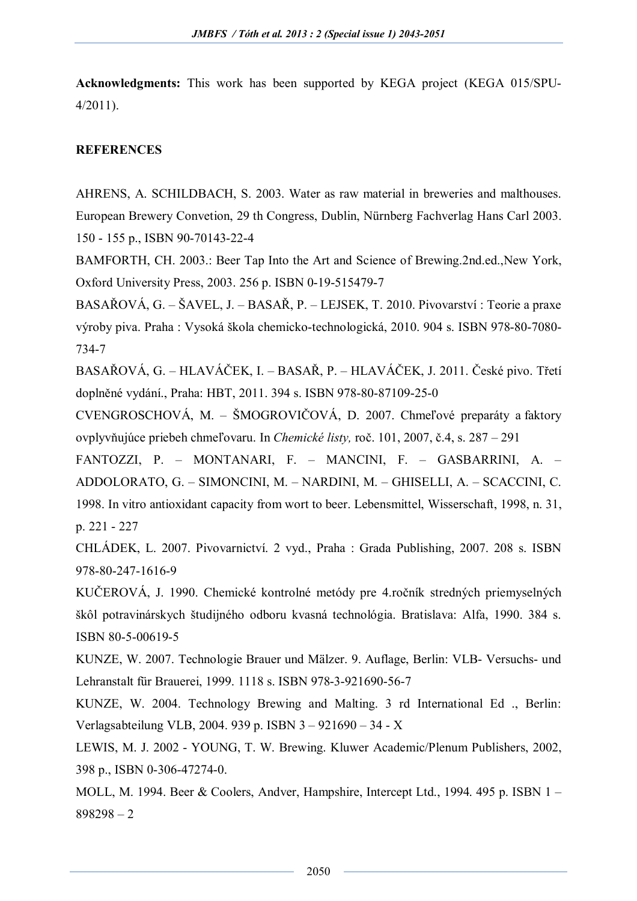**Acknowledgments:** This work has been supported by KEGA project (KEGA 015/SPU-4/2011).

# **REFERENCES**

AHRENS, A. SCHILDBACH, S. 2003. Water as raw material in breweries and malthouses. European Brewery Convetion, 29 th Congress, Dublin, Nürnberg Fachverlag Hans Carl 2003. 150 - 155 p., ISBN 90-70143-22-4

BAMFORTH, CH. 2003.: Beer Tap Into the Art and Science of Brewing.2nd.ed.,New York, Oxford University Press, 2003. 256 p. ISBN 0-19-515479-7

BASAŘOVÁ, G. – ŠAVEL, J. – BASAŘ, P. – LEJSEK, T. 2010. Pivovarství : Teorie a praxe výroby piva. Praha : Vysoká škola chemicko-technologická, 2010. 904 s. ISBN 978-80-7080- 734-7

BASAŘOVÁ, G. – HLAVÁČEK, I. – BASAŘ, P. – HLAVÁČEK, J. 2011. České pivo. Třetí doplněné vydání., Praha: HBT, 2011. 394 s. ISBN 978-80-87109-25-0

CVENGROSCHOVÁ, M. – ŠMOGROVIČOVÁ, D. 2007. Chmeľové preparáty a faktory ovplyvňujúce priebeh chmeľovaru. In *Chemické listy,* roč. 101, 2007, č.4, s. 287 – 291

FANTOZZI, P. – MONTANARI, F. – MANCINI, F. – GASBARRINI, A. – ADDOLORATO, G. – SIMONCINI, M. – NARDINI, M. – GHISELLI, A. – SCACCINI, C. 1998. In vitro antioxidant capacity from wort to beer. Lebensmittel, Wisserschaft, 1998, n. 31, p. 221 - 227

CHLÁDEK, L. 2007. Pivovarnictví. 2 vyd., Praha : Grada Publishing, 2007. 208 s. ISBN 978-80-247-1616-9

KUČEROVÁ, J. 1990. Chemické kontrolné metódy pre 4.ročník stredných priemyselných škôl potravinárskych študijného odboru kvasná technológia. Bratislava: Alfa, 1990. 384 s. ISBN 80-5-00619-5

KUNZE, W. 2007. Technologie Brauer und Mälzer. 9. Auflage, Berlin: VLB- Versuchs- und Lehranstalt für Brauerei, 1999. 1118 s. ISBN 978-3-921690-56-7

KUNZE, W. 2004. Technology Brewing and Malting. 3 rd International Ed ., Berlin: Verlagsabteilung VLB, 2004. 939 p. ISBN 3 – 921690 – 34 - X

LEWIS, M. J. 2002 - YOUNG, T. W. Brewing. Kluwer Academic/Plenum Publishers, 2002, 398 p., ISBN 0-306-47274-0.

MOLL, M. 1994. Beer & Coolers, Andver, Hampshire, Intercept Ltd., 1994. 495 p. ISBN 1 – 898298 – 2